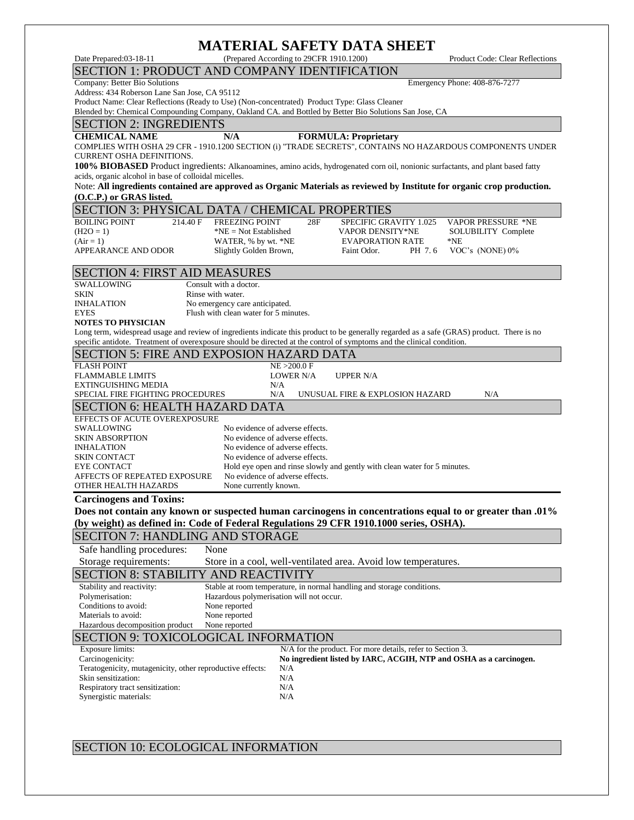# **MATERIAL SAFETY DATA SHEET**

SECTION 1: PRODUCT AND COMPANY IDENTIFICATION

Company: Better Bio Solutions Emergency Phone: 408-876-7277

Address: 434 Roberson Lane San Jose, CA 95112

Product Name: Clear Reflections (Ready to Use) (Non-concentrated) Product Type: Glass Cleaner Blended by: Chemical Compounding Company, Oakland CA. and Bottled by Better Bio Solutions San Jose, CA

### SECTION 2: INGREDIENTS

**CHEMICAL NAME N/A FORMULA: Proprietary**

COMPLIES WITH OSHA 29 CFR - 1910.1200 SECTION (i) "TRADE SECRETS", CONTAINS NO HAZARDOUS COMPONENTS UNDER CURRENT OSHA DEFINITIONS.

**100% BIOBASED** Product ingredients: Alkanoamines, amino acids, hydrogenated corn oil, nonionic surfactants, and plant based fatty acids, organic alcohol in base of colloidal micelles.

Note: **All ingredients contained are approved as Organic Materials as reviewed by Institute for organic crop production. (O.C.P.) or GRAS listed.**

#### SECTION 3: PHYSICAL DATA / CHEMICAL PROPERTIES BOILING POINT 214.40 F FREEZING POINT 28F SPECIFIC GRAVITY 1.025 VAPOR PRESSURE \*NE (H2O = 1)  $*NE = Not Established$  VAPOR DENSITY\*NE SOLUBILITY Complete (Air = 1) WATER, % by wt.  $*NE$  EVAPORATION RATE  $*NE$ (Air = 1) WATER, % by wt. \*NE EVAPORATION RATE \*NE APPEARANCE AND ODOR Slightly Golden Brown, Faint Odor. PH 7.6 VOC's (NONE) 0% SECTION 4: FIRST AID MEASURES SWALLOWING Consult with a doctor. SKIN Rinse with water. INHALATION No emergency care anticipated. EYES Flush with clean water for 5 minutes. **NOTES TO PHYSICIAN** Long term, widespread usage and review of ingredients indicate this product to be generally regarded as a safe (GRAS) product. There is no specific antidote. Treatment of overexposure should be directed at the control of symptoms and the clinical condition. SECTION 5: FIRE AND EXPOSION HAZARD DATA FLASH POINT<br>FLAMMABLE LIMITS TOWER N/A FLAMMABLE LIMITS LOWER N/A UPPER N/A EXTINGUISHING MEDIA N/A SPECIAL FIRE FIGHTING PROCEDURES N/A UNUSUAL FIRE & EXPLOSION HAZARD N/A SECTION 6: HEALTH HAZARD DATA

EFFECTS OF ACUTE OVEREXPOSURE SWALLOWING No evidence of adverse effects. SKIN ABSORPTION No evidence of adverse effects. INHALATION No evidence of adverse effects.<br>SKIN CONTACT No evidence of adverse effects. No evidence of adverse effects. EYE CONTACT Hold eye open and rinse slowly and gently with clean water for 5 minutes. AFFECTS OF REPEATED EXPOSURE No evidence of adverse effects. OTHER HEALTH HAZARDS None currently known.

**Carcinogens and Toxins:**

**Does not contain any known or suspected human carcinogens in concentrations equal to or greater than .01% (by weight) as defined in: Code of Federal Regulations 29 CFR 1910.1000 series, OSHA).** 

## SECITON 7: HANDLING AND STORAGE

Safe handling procedures: None Storage requirements: Store in a cool, well-ventilated area. Avoid low temperatures. SECTION 8: STABILITY AND REACTIVITY Stability and reactivity: Stable at room temperature, in normal handling and storage conditions. Polymerisation: Hazardous polymerisation will not occur. Conditions to avoid:<br>
Materials to avoid:<br>
None reported Materials to avoid: Hazardous decomposition product None reported SECTION 9: TOXICOLOGICAL INFORMATION Exposure limits: N/A for the product. For more details, refer to Section 3. Carcinogenicity: **No ingredient listed by IARC, ACGIH, NTP and OSHA as a carcinogen.** Teratogenicity, mutagenicity, other reproductive effects: N/A Skin sensitization: N/A Respiratory tract sensitization: N/A Synergistic materials: N/A

SECTION 10: ECOLOGICAL INFORMATION

Date Prepared:03-18-11 (Prepared According to 29CFR 1910.1200) Product Code: Clear Reflections